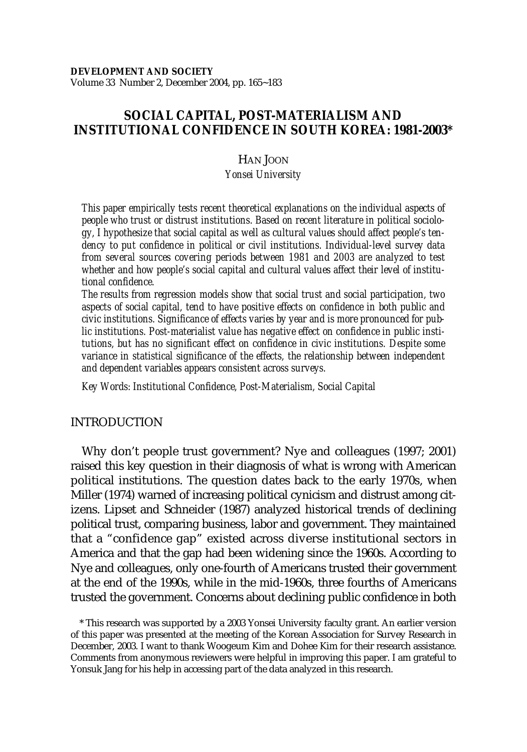# **SOCIAL CAPITAL, POST-MATERIALISM AND INSTITUTIONAL CONFIDENCE IN SOUTH KOREA: 1981-2003\***

# HAN JOON

## *Yonsei University*

*This paper empirically tests recent theoretical explanations on the individual aspects of people who trust or distrust institutions. Based on recent literature in political sociology, I hypothesize that social capital as well as cultural values should affect people's tendency to put confidence in political or civil institutions. Individual-level survey data from several sources covering periods between 1981 and 2003 are analyzed to test whether and how people's social capital and cultural values affect their level of institutional confidence.*

*The results from regression models show that social trust and social participation, two aspects of social capital, tend to have positive effects on confidence in both public and civic institutions. Significance of effects varies by year and is more pronounced for public institutions. Post-materialist value has negative effect on confidence in public institutions, but has no significant effect on confidence in civic institutions. Despite some variance in statistical significance of the effects, the relationship between independent and dependent variables appears consistent across surveys.*

*Key Words: Institutional Confidence, Post-Materialism, Social Capital*

# INTRODUCTION

Why don't people trust government? Nye and colleagues (1997; 2001) raised this key question in their diagnosis of what is wrong with American political institutions. The question dates back to the early 1970s, when Miller (1974) warned of increasing political cynicism and distrust among citizens. Lipset and Schneider (1987) analyzed historical trends of declining political trust, comparing business, labor and government. They maintained that a "confidence gap" existed across diverse institutional sectors in America and that the gap had been widening since the 1960s. According to Nye and colleagues, only one-fourth of Americans trusted their government at the end of the 1990s, while in the mid-1960s, three fourths of Americans trusted the government. Concerns about declining public confidence in both

\* This research was supported by a 2003 Yonsei University faculty grant. An earlier version of this paper was presented at the meeting of the Korean Association for Survey Research in December, 2003. I want to thank Woogeum Kim and Dohee Kim for their research assistance. Comments from anonymous reviewers were helpful in improving this paper. I am grateful to Yonsuk Jang for his help in accessing part of the data analyzed in this research.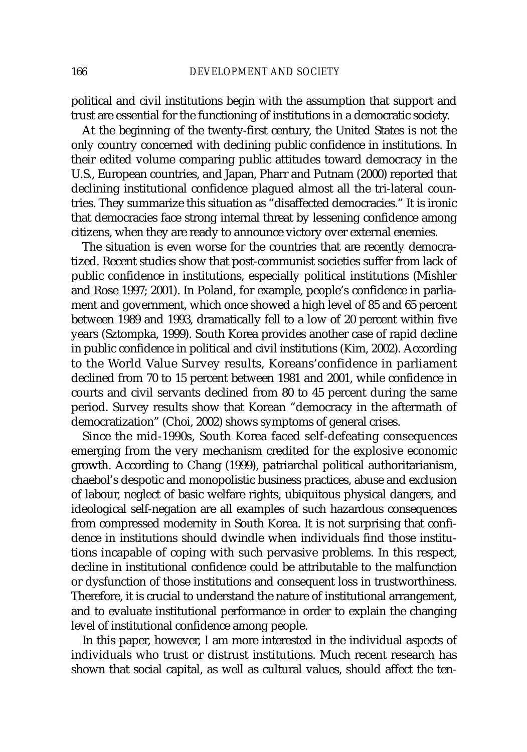political and civil institutions begin with the assumption that support and trust are essential for the functioning of institutions in a democratic society.

At the beginning of the twenty-first century, the United States is not the only country concerned with declining public confidence in institutions. In their edited volume comparing public attitudes toward democracy in the U.S., European countries, and Japan, Pharr and Putnam (2000) reported that declining institutional confidence plagued almost all the tri-lateral countries. They summarize this situation as "disaffected democracies." It is ironic that democracies face strong internal threat by lessening confidence among citizens, when they are ready to announce victory over external enemies.

The situation is even worse for the countries that are recently democratized. Recent studies show that post-communist societies suffer from lack of public confidence in institutions, especially political institutions (Mishler and Rose 1997; 2001). In Poland, for example, people's confidence in parliament and government, which once showed a high level of 85 and 65 percent between 1989 and 1993, dramatically fell to a low of 20 percent within five years (Sztompka, 1999). South Korea provides another case of rapid decline in public confidence in political and civil institutions (Kim, 2002). According to the World Value Survey results, Koreans'confidence in parliament declined from 70 to 15 percent between 1981 and 2001, while confidence in courts and civil servants declined from 80 to 45 percent during the same period. Survey results show that Korean "democracy in the aftermath of democratization" (Choi, 2002) shows symptoms of general crises.

Since the mid-1990s, South Korea faced self-defeating consequences emerging from the very mechanism credited for the explosive economic growth. According to Chang (1999), patriarchal political authoritarianism, chaebol's despotic and monopolistic business practices, abuse and exclusion of labour, neglect of basic welfare rights, ubiquitous physical dangers, and ideological self-negation are all examples of such hazardous consequences from compressed modernity in South Korea. It is not surprising that confidence in institutions should dwindle when individuals find those institutions incapable of coping with such pervasive problems. In this respect, decline in institutional confidence could be attributable to the malfunction or dysfunction of those institutions and consequent loss in trustworthiness. Therefore, it is crucial to understand the nature of institutional arrangement, and to evaluate institutional performance in order to explain the changing level of institutional confidence among people.

In this paper, however, I am more interested in the individual aspects of individuals who trust or distrust institutions. Much recent research has shown that social capital, as well as cultural values, should affect the ten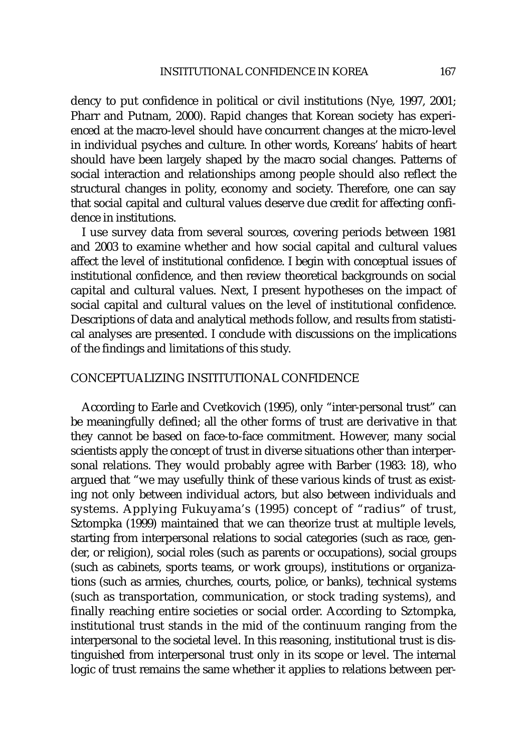dency to put confidence in political or civil institutions (Nye, 1997, 2001; Pharr and Putnam, 2000). Rapid changes that Korean society has experienced at the macro-level should have concurrent changes at the micro-level in individual psyches and culture. In other words, Koreans' habits of heart should have been largely shaped by the macro social changes. Patterns of social interaction and relationships among people should also reflect the structural changes in polity, economy and society. Therefore, one can say that social capital and cultural values deserve due credit for affecting confidence in institutions.

I use survey data from several sources, covering periods between 1981 and 2003 to examine whether and how social capital and cultural values affect the level of institutional confidence. I begin with conceptual issues of institutional confidence, and then review theoretical backgrounds on social capital and cultural values. Next, I present hypotheses on the impact of social capital and cultural values on the level of institutional confidence. Descriptions of data and analytical methods follow, and results from statistical analyses are presented. I conclude with discussions on the implications of the findings and limitations of this study.

# CONCEPTUALIZING INSTITUTIONAL CONFIDENCE

According to Earle and Cvetkovich (1995), only "inter-personal trust" can be meaningfully defined; all the other forms of trust are derivative in that they cannot be based on face-to-face commitment. However, many social scientists apply the concept of trust in diverse situations other than interpersonal relations. They would probably agree with Barber (1983: 18), who argued that "we may usefully think of these various kinds of trust as existing not only between individual actors, but also between individuals and systems. Applying Fukuyama's (1995) concept of "radius" of trust, Sztompka (1999) maintained that we can theorize trust at multiple levels, starting from interpersonal relations to social categories (such as race, gender, or religion), social roles (such as parents or occupations), social groups (such as cabinets, sports teams, or work groups), institutions or organizations (such as armies, churches, courts, police, or banks), technical systems (such as transportation, communication, or stock trading systems), and finally reaching entire societies or social order. According to Sztompka, institutional trust stands in the mid of the continuum ranging from the interpersonal to the societal level. In this reasoning, institutional trust is distinguished from interpersonal trust only in its scope or level. The internal logic of trust remains the same whether it applies to relations between per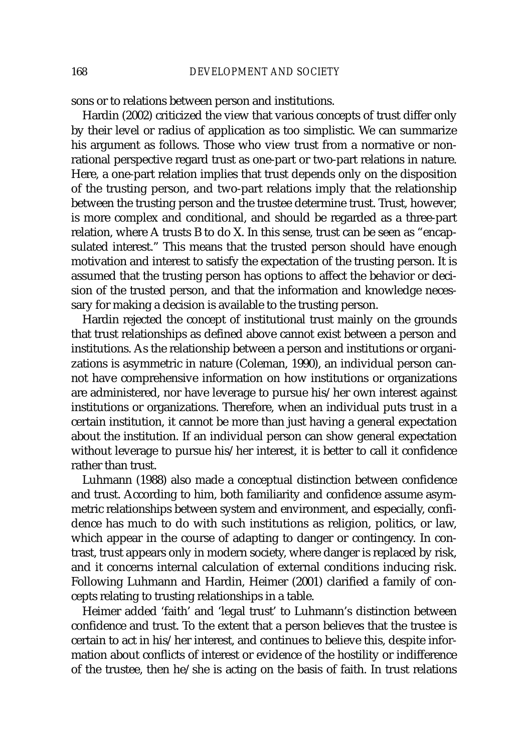sons or to relations between person and institutions.

Hardin (2002) criticized the view that various concepts of trust differ only by their level or radius of application as too simplistic. We can summarize his argument as follows. Those who view trust from a normative or nonrational perspective regard trust as one-part or two-part relations in nature. Here, a one-part relation implies that trust depends only on the disposition of the trusting person, and two-part relations imply that the relationship between the trusting person and the trustee determine trust. Trust, however, is more complex and conditional, and should be regarded as a three-part relation, where A trusts B to do X. In this sense, trust can be seen as "encapsulated interest." This means that the trusted person should have enough motivation and interest to satisfy the expectation of the trusting person. It is assumed that the trusting person has options to affect the behavior or decision of the trusted person, and that the information and knowledge necessary for making a decision is available to the trusting person.

Hardin rejected the concept of institutional trust mainly on the grounds that trust relationships as defined above cannot exist between a person and institutions. As the relationship between a person and institutions or organizations is asymmetric in nature (Coleman, 1990), an individual person cannot have comprehensive information on how institutions or organizations are administered, nor have leverage to pursue his/her own interest against institutions or organizations. Therefore, when an individual puts trust in a certain institution, it cannot be more than just having a general expectation about the institution. If an individual person can show general expectation without leverage to pursue his/her interest, it is better to call it confidence rather than trust.

Luhmann (1988) also made a conceptual distinction between confidence and trust. According to him, both familiarity and confidence assume asymmetric relationships between system and environment, and especially, confidence has much to do with such institutions as religion, politics, or law, which appear in the course of adapting to danger or contingency. In contrast, trust appears only in modern society, where danger is replaced by risk, and it concerns internal calculation of external conditions inducing risk. Following Luhmann and Hardin, Heimer (2001) clarified a family of concepts relating to trusting relationships in a table.

Heimer added 'faith' and 'legal trust' to Luhmann's distinction between confidence and trust. To the extent that a person believes that the trustee is certain to act in his/her interest, and continues to believe this, despite information about conflicts of interest or evidence of the hostility or indifference of the trustee, then he/she is acting on the basis of faith. In trust relations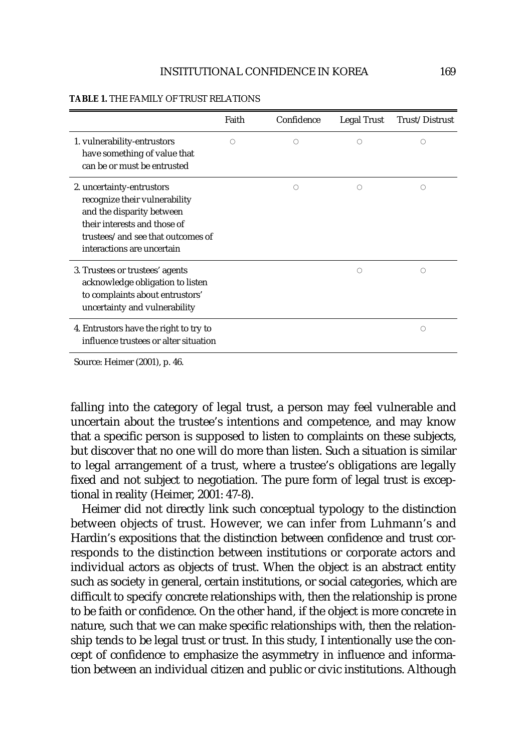|                                                                                                                                                                                            | Faith | Confidence | Legal Trust | Trust/Distrust |
|--------------------------------------------------------------------------------------------------------------------------------------------------------------------------------------------|-------|------------|-------------|----------------|
| 1. vulnerability-entrustors<br>have something of value that<br>can be or must be entrusted                                                                                                 | O     | Ω          | Ω           | O              |
| 2. uncertainty-entrustors<br>recognize their vulnerability<br>and the disparity between<br>their interests and those of<br>trustees/and see that outcomes of<br>interactions are uncertain |       | Ω          | Ω           | O              |
| 3. Trustees or trustees' agents<br>acknowledge obligation to listen<br>to complaints about entrustors'<br>uncertainty and vulnerability                                                    |       |            | О           | O              |
| 4. Entrustors have the right to try to<br>influence trustees or alter situation                                                                                                            |       |            |             | O              |

#### **TABLE 1.** THE FAMILY OF TRUST RELATIONS

Source: Heimer (2001), p. 46.

falling into the category of legal trust, a person may feel vulnerable and uncertain about the trustee's intentions and competence, and may know that a specific person is supposed to listen to complaints on these subjects, but discover that no one will do more than listen. Such a situation is similar to legal arrangement of a trust, where a trustee's obligations are legally fixed and not subject to negotiation. The pure form of legal trust is exceptional in reality (Heimer, 2001: 47-8).

Heimer did not directly link such conceptual typology to the distinction between objects of trust. However, we can infer from Luhmann's and Hardin's expositions that the distinction between confidence and trust corresponds to the distinction between institutions or corporate actors and individual actors as objects of trust. When the object is an abstract entity such as society in general, certain institutions, or social categories, which are difficult to specify concrete relationships with, then the relationship is prone to be faith or confidence. On the other hand, if the object is more concrete in nature, such that we can make specific relationships with, then the relationship tends to be legal trust or trust. In this study, I intentionally use the concept of confidence to emphasize the asymmetry in influence and information between an individual citizen and public or civic institutions. Although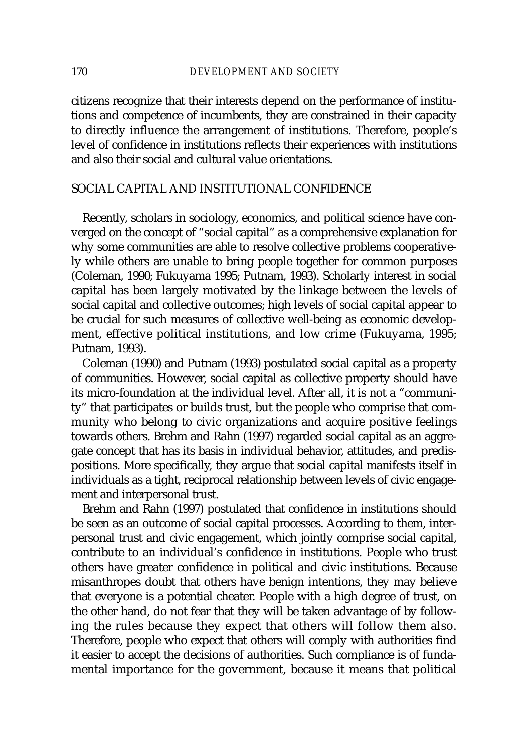citizens recognize that their interests depend on the performance of institutions and competence of incumbents, they are constrained in their capacity to directly influence the arrangement of institutions. Therefore, people's level of confidence in institutions reflects their experiences with institutions and also their social and cultural value orientations.

# SOCIAL CAPITAL AND INSTITUTIONAL CONFIDENCE

Recently, scholars in sociology, economics, and political science have converged on the concept of "social capital" as a comprehensive explanation for why some communities are able to resolve collective problems cooperatively while others are unable to bring people together for common purposes (Coleman, 1990; Fukuyama 1995; Putnam, 1993). Scholarly interest in social capital has been largely motivated by the linkage between the levels of social capital and collective outcomes; high levels of social capital appear to be crucial for such measures of collective well-being as economic development, effective political institutions, and low crime (Fukuyama, 1995; Putnam, 1993).

Coleman (1990) and Putnam (1993) postulated social capital as a property of communities. However, social capital as collective property should have its micro-foundation at the individual level. After all, it is not a "community" that participates or builds trust, but the people who comprise that community who belong to civic organizations and acquire positive feelings towards others. Brehm and Rahn (1997) regarded social capital as an aggregate concept that has its basis in individual behavior, attitudes, and predispositions. More specifically, they argue that social capital manifests itself in individuals as a tight, reciprocal relationship between levels of civic engagement and interpersonal trust.

Brehm and Rahn (1997) postulated that confidence in institutions should be seen as an outcome of social capital processes. According to them, interpersonal trust and civic engagement, which jointly comprise social capital, contribute to an individual's confidence in institutions. People who trust others have greater confidence in political and civic institutions. Because misanthropes doubt that others have benign intentions, they may believe that everyone is a potential cheater. People with a high degree of trust, on the other hand, do not fear that they will be taken advantage of by following the rules because they expect that others will follow them also. Therefore, people who expect that others will comply with authorities find it easier to accept the decisions of authorities. Such compliance is of fundamental importance for the government, because it means that political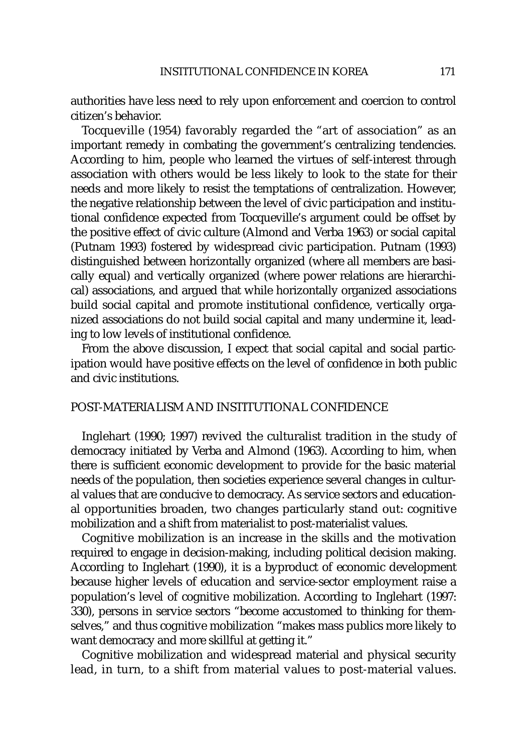authorities have less need to rely upon enforcement and coercion to control citizen's behavior.

Tocqueville (1954) favorably regarded the "art of association" as an important remedy in combating the government's centralizing tendencies. According to him, people who learned the virtues of self-interest through association with others would be less likely to look to the state for their needs and more likely to resist the temptations of centralization. However, the negative relationship between the level of civic participation and institutional confidence expected from Tocqueville's argument could be offset by the positive effect of civic culture (Almond and Verba 1963) or social capital (Putnam 1993) fostered by widespread civic participation. Putnam (1993) distinguished between horizontally organized (where all members are basically equal) and vertically organized (where power relations are hierarchical) associations, and argued that while horizontally organized associations build social capital and promote institutional confidence, vertically organized associations do not build social capital and many undermine it, leading to low levels of institutional confidence.

From the above discussion, I expect that social capital and social participation would have positive effects on the level of confidence in both public and civic institutions.

# POST-MATERIALISM AND INSTITUTIONAL CONFIDENCE

Inglehart (1990; 1997) revived the culturalist tradition in the study of democracy initiated by Verba and Almond (1963). According to him, when there is sufficient economic development to provide for the basic material needs of the population, then societies experience several changes in cultural values that are conducive to democracy. As service sectors and educational opportunities broaden, two changes particularly stand out: cognitive mobilization and a shift from materialist to post-materialist values.

Cognitive mobilization is an increase in the skills and the motivation required to engage in decision-making, including political decision making. According to Inglehart (1990), it is a byproduct of economic development because higher levels of education and service-sector employment raise a population's level of cognitive mobilization. According to Inglehart (1997: 330), persons in service sectors "become accustomed to thinking for themselves," and thus cognitive mobilization "makes mass publics more likely to want democracy and more skillful at getting it."

Cognitive mobilization and widespread material and physical security lead, in turn, to a shift from material values to post-material values.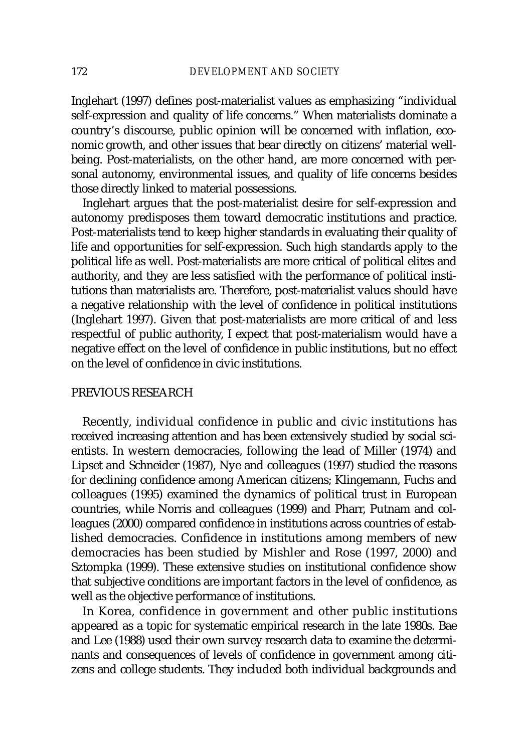Inglehart (1997) defines post-materialist values as emphasizing "individual self-expression and quality of life concerns." When materialists dominate a country's discourse, public opinion will be concerned with inflation, economic growth, and other issues that bear directly on citizens' material wellbeing. Post-materialists, on the other hand, are more concerned with personal autonomy, environmental issues, and quality of life concerns besides those directly linked to material possessions.

Inglehart argues that the post-materialist desire for self-expression and autonomy predisposes them toward democratic institutions and practice. Post-materialists tend to keep higher standards in evaluating their quality of life and opportunities for self-expression. Such high standards apply to the political life as well. Post-materialists are more critical of political elites and authority, and they are less satisfied with the performance of political institutions than materialists are. Therefore, post-materialist values should have a negative relationship with the level of confidence in political institutions (Inglehart 1997). Given that post-materialists are more critical of and less respectful of public authority, I expect that post-materialism would have a negative effect on the level of confidence in public institutions, but no effect on the level of confidence in civic institutions.

# PREVIOUS RESEARCH

Recently, individual confidence in public and civic institutions has received increasing attention and has been extensively studied by social scientists. In western democracies, following the lead of Miller (1974) and Lipset and Schneider (1987), Nye and colleagues (1997) studied the reasons for declining confidence among American citizens; Klingemann, Fuchs and colleagues (1995) examined the dynamics of political trust in European countries, while Norris and colleagues (1999) and Pharr, Putnam and colleagues (2000) compared confidence in institutions across countries of established democracies. Confidence in institutions among members of new democracies has been studied by Mishler and Rose (1997, 2000) and Sztompka (1999). These extensive studies on institutional confidence show that subjective conditions are important factors in the level of confidence, as well as the objective performance of institutions.

In Korea, confidence in government and other public institutions appeared as a topic for systematic empirical research in the late 1980s. Bae and Lee (1988) used their own survey research data to examine the determinants and consequences of levels of confidence in government among citizens and college students. They included both individual backgrounds and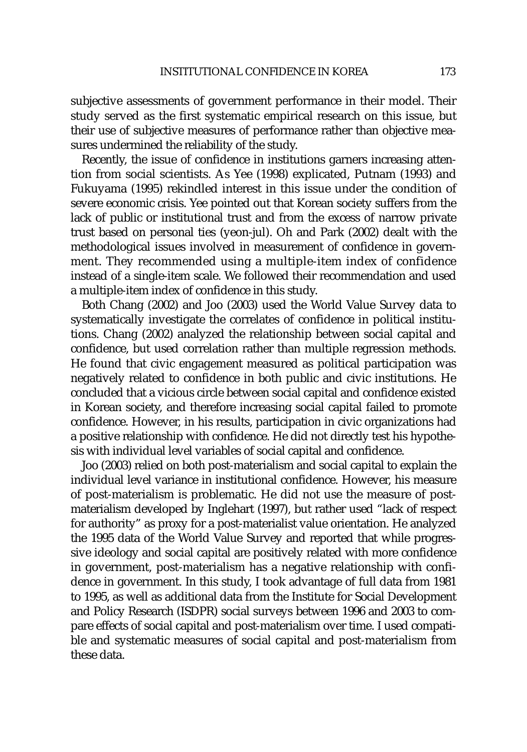subjective assessments of government performance in their model. Their study served as the first systematic empirical research on this issue, but their use of subjective measures of performance rather than objective measures undermined the reliability of the study.

Recently, the issue of confidence in institutions garners increasing attention from social scientists. As Yee (1998) explicated, Putnam (1993) and Fukuyama (1995) rekindled interest in this issue under the condition of severe economic crisis. Yee pointed out that Korean society suffers from the lack of public or institutional trust and from the excess of narrow private trust based on personal ties (yeon-jul). Oh and Park (2002) dealt with the methodological issues involved in measurement of confidence in government. They recommended using a multiple-item index of confidence instead of a single-item scale. We followed their recommendation and used a multiple-item index of confidence in this study.

Both Chang (2002) and Joo (2003) used the World Value Survey data to systematically investigate the correlates of confidence in political institutions. Chang (2002) analyzed the relationship between social capital and confidence, but used correlation rather than multiple regression methods. He found that civic engagement measured as political participation was negatively related to confidence in both public and civic institutions. He concluded that a vicious circle between social capital and confidence existed in Korean society, and therefore increasing social capital failed to promote confidence. However, in his results, participation in civic organizations had a positive relationship with confidence. He did not directly test his hypothesis with individual level variables of social capital and confidence.

Joo (2003) relied on both post-materialism and social capital to explain the individual level variance in institutional confidence. However, his measure of post-materialism is problematic. He did not use the measure of postmaterialism developed by Inglehart (1997), but rather used "lack of respect for authority" as proxy for a post-materialist value orientation. He analyzed the 1995 data of the World Value Survey and reported that while progressive ideology and social capital are positively related with more confidence in government, post-materialism has a negative relationship with confidence in government. In this study, I took advantage of full data from 1981 to 1995, as well as additional data from the Institute for Social Development and Policy Research (ISDPR) social surveys between 1996 and 2003 to compare effects of social capital and post-materialism over time. I used compatible and systematic measures of social capital and post-materialism from these data.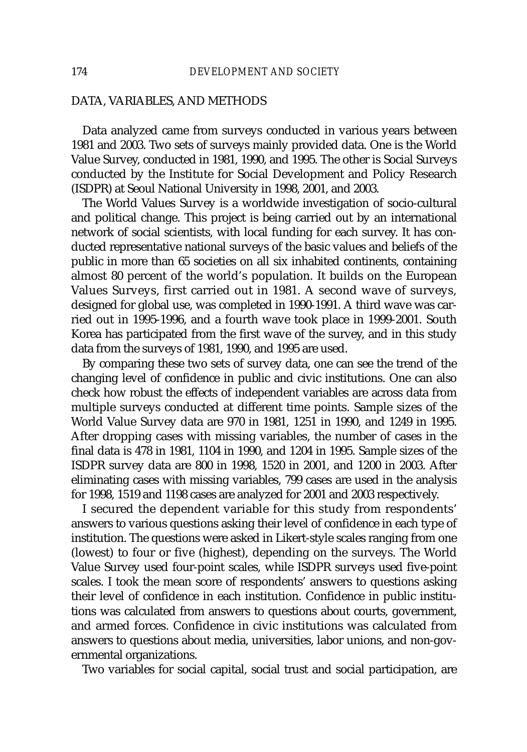# DATA, VARIABLES, AND METHODS

Data analyzed came from surveys conducted in various years between 1981 and 2003. Two sets of surveys mainly provided data. One is the World Value Survey, conducted in 1981, 1990, and 1995. The other is Social Surveys conducted by the Institute for Social Development and Policy Research (ISDPR) at Seoul National University in 1998, 2001, and 2003.

The World Values Survey is a worldwide investigation of socio-cultural and political change. This project is being carried out by an international network of social scientists, with local funding for each survey. It has conducted representative national surveys of the basic values and beliefs of the public in more than 65 societies on all six inhabited continents, containing almost 80 percent of the world's population. It builds on the European Values Surveys, first carried out in 1981. A second wave of surveys, designed for global use, was completed in 1990-1991. A third wave was carried out in 1995-1996, and a fourth wave took place in 1999-2001. South Korea has participated from the first wave of the survey, and in this study data from the surveys of 1981, 1990, and 1995 are used.

By comparing these two sets of survey data, one can see the trend of the changing level of confidence in public and civic institutions. One can also check how robust the effects of independent variables are across data from multiple surveys conducted at different time points. Sample sizes of the World Value Survey data are 970 in 1981, 1251 in 1990, and 1249 in 1995. After dropping cases with missing variables, the number of cases in the final data is 478 in 1981, 1104 in 1990, and 1204 in 1995. Sample sizes of the ISDPR survey data are 800 in 1998, 1520 in 2001, and 1200 in 2003. After eliminating cases with missing variables, 799 cases are used in the analysis for 1998, 1519 and 1198 cases are analyzed for 2001 and 2003 respectively.

I secured the dependent variable for this study from respondents' answers to various questions asking their level of confidence in each type of institution. The questions were asked in Likert-style scales ranging from one (lowest) to four or five (highest), depending on the surveys. The World Value Survey used four-point scales, while ISDPR surveys used five-point scales. I took the mean score of respondents' answers to questions asking their level of confidence in each institution. Confidence in public institutions was calculated from answers to questions about courts, government, and armed forces. Confidence in civic institutions was calculated from answers to questions about media, universities, labor unions, and non-governmental organizations.

Two variables for social capital, social trust and social participation, are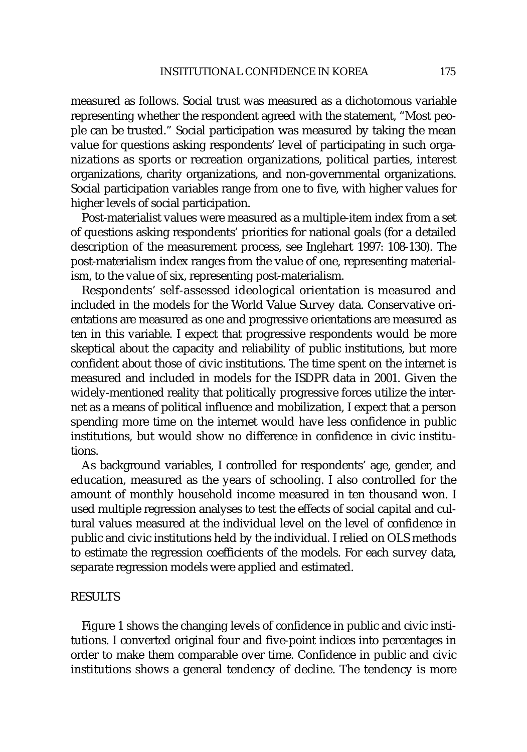measured as follows. Social trust was measured as a dichotomous variable representing whether the respondent agreed with the statement, "Most people can be trusted." Social participation was measured by taking the mean value for questions asking respondents' level of participating in such organizations as sports or recreation organizations, political parties, interest organizations, charity organizations, and non-governmental organizations. Social participation variables range from one to five, with higher values for higher levels of social participation.

Post-materialist values were measured as a multiple-item index from a set of questions asking respondents' priorities for national goals (for a detailed description of the measurement process, see Inglehart 1997: 108-130). The post-materialism index ranges from the value of one, representing materialism, to the value of six, representing post-materialism.

Respondents' self-assessed ideological orientation is measured and included in the models for the World Value Survey data. Conservative orientations are measured as one and progressive orientations are measured as ten in this variable. I expect that progressive respondents would be more skeptical about the capacity and reliability of public institutions, but more confident about those of civic institutions. The time spent on the internet is measured and included in models for the ISDPR data in 2001. Given the widely-mentioned reality that politically progressive forces utilize the internet as a means of political influence and mobilization, I expect that a person spending more time on the internet would have less confidence in public institutions, but would show no difference in confidence in civic institutions.

As background variables, I controlled for respondents' age, gender, and education, measured as the years of schooling. I also controlled for the amount of monthly household income measured in ten thousand won. I used multiple regression analyses to test the effects of social capital and cultural values measured at the individual level on the level of confidence in public and civic institutions held by the individual. I relied on OLS methods to estimate the regression coefficients of the models. For each survey data, separate regression models were applied and estimated.

# **RESULTS**

Figure 1 shows the changing levels of confidence in public and civic institutions. I converted original four and five-point indices into percentages in order to make them comparable over time. Confidence in public and civic institutions shows a general tendency of decline. The tendency is more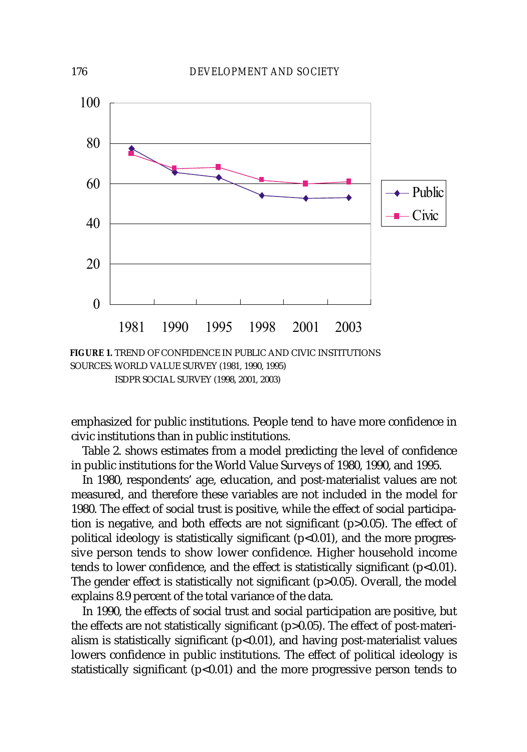

SOURCES: WORLD VALUE SURVEY (1981, 1990, 1995)

ISDPR SOCIAL SURVEY (1998, 2001, 2003)

emphasized for public institutions. People tend to have more confidence in civic institutions than in public institutions.

Table 2. shows estimates from a model predicting the level of confidence in public institutions for the World Value Surveys of 1980, 1990, and 1995.

In 1980, respondents' age, education, and post-materialist values are not measured, and therefore these variables are not included in the model for 1980. The effect of social trust is positive, while the effect of social participation is negative, and both effects are not significant (p>0.05). The effect of political ideology is statistically significant  $(p<0.01)$ , and the more progressive person tends to show lower confidence. Higher household income tends to lower confidence, and the effect is statistically significant  $(p<0.01)$ . The gender effect is statistically not significant (p>0.05). Overall, the model explains 8.9 percent of the total variance of the data.

In 1990, the effects of social trust and social participation are positive, but the effects are not statistically significant (p>0.05). The effect of post-materialism is statistically significant  $(p<0.01)$ , and having post-materialist values lowers confidence in public institutions. The effect of political ideology is statistically significant  $(p<0.01)$  and the more progressive person tends to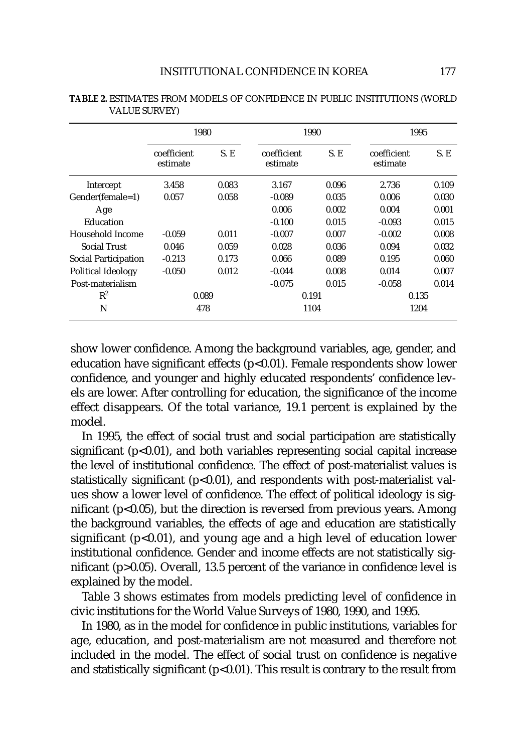|                             | 1980                    |       | 1990                    |       | 1995                    |       |
|-----------------------------|-------------------------|-------|-------------------------|-------|-------------------------|-------|
|                             | coefficient<br>estimate | S.E   | coefficient<br>estimate | S. E  | coefficient<br>estimate | S. E  |
| Intercept                   | 3.458                   | 0.083 | 3.167                   | 0.096 | 2.736                   | 0.109 |
| Gender(female=1)            | 0.057                   | 0.058 | $-0.089$                | 0.035 | 0.006                   | 0.030 |
| Age                         |                         |       | 0.006                   | 0.002 | 0.004                   | 0.001 |
| Education                   |                         |       | $-0.100$                | 0.015 | $-0.093$                | 0.015 |
| Household Income            | $-0.059$                | 0.011 | $-0.007$                | 0.007 | $-0.002$                | 0.008 |
| <b>Social Trust</b>         | 0.046                   | 0.059 | 0.028                   | 0.036 | 0.094                   | 0.032 |
| <b>Social Participation</b> | $-0.213$                | 0.173 | 0.066                   | 0.089 | 0.195                   | 0.060 |
| Political Ideology          | $-0.050$                | 0.012 | $-0.044$                | 0.008 | 0.014                   | 0.007 |
| Post-materialism            |                         |       | $-0.075$                | 0.015 | $-0.058$                | 0.014 |
| $R^2$                       | 0.089                   |       | 0.191                   |       | 0.135                   |       |
| N                           | 478                     |       | 1104                    |       | 1204                    |       |

**TABLE 2.** ESTIMATES FROM MODELS OF CONFIDENCE IN PUBLIC INSTITUTIONS (WORLD VALUE SURVEY)

show lower confidence. Among the background variables, age, gender, and education have significant effects ( $p$ <0.01). Female respondents show lower confidence, and younger and highly educated respondents' confidence levels are lower. After controlling for education, the significance of the income effect disappears. Of the total variance, 19.1 percent is explained by the model.

In 1995, the effect of social trust and social participation are statistically significant  $(p<0.01)$ , and both variables representing social capital increase the level of institutional confidence. The effect of post-materialist values is statistically significant ( $p$ <0.01), and respondents with post-materialist values show a lower level of confidence. The effect of political ideology is significant  $(p<0.05)$ , but the direction is reversed from previous years. Among the background variables, the effects of age and education are statistically significant  $(p<0.01)$ , and young age and a high level of education lower institutional confidence. Gender and income effects are not statistically significant (p>0.05). Overall, 13.5 percent of the variance in confidence level is explained by the model.

Table 3 shows estimates from models predicting level of confidence in civic institutions for the World Value Surveys of 1980, 1990, and 1995.

In 1980, as in the model for confidence in public institutions, variables for age, education, and post-materialism are not measured and therefore not included in the model. The effect of social trust on confidence is negative and statistically significant ( $p$ <0.01). This result is contrary to the result from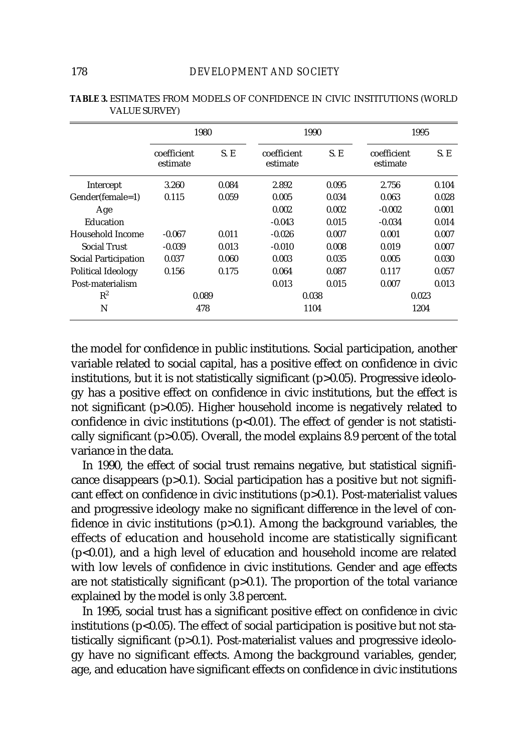|                      | 1980                    |       |                         | 1990  |                         | 1995  |  |
|----------------------|-------------------------|-------|-------------------------|-------|-------------------------|-------|--|
|                      | coefficient<br>estimate | S.E   | coefficient<br>estimate | S.E   | coefficient<br>estimate | S.E   |  |
| Intercept            | 3.260                   | 0.084 | 2.892                   | 0.095 | 2.756                   | 0.104 |  |
| Gender(female=1)     | 0.115                   | 0.059 | 0.005                   | 0.034 | 0.063                   | 0.028 |  |
| Age                  |                         |       | 0.002                   | 0.002 | $-0.002$                | 0.001 |  |
| Education            |                         |       | $-0.043$                | 0.015 | $-0.034$                | 0.014 |  |
| Household Income     | $-0.067$                | 0.011 | $-0.026$                | 0.007 | 0.001                   | 0.007 |  |
| <b>Social Trust</b>  | $-0.039$                | 0.013 | $-0.010$                | 0.008 | 0.019                   | 0.007 |  |
| Social Participation | 0.037                   | 0.060 | 0.003                   | 0.035 | 0.005                   | 0.030 |  |
| Political Ideology   | 0.156                   | 0.175 | 0.064                   | 0.087 | 0.117                   | 0.057 |  |
| Post-materialism     |                         |       | 0.013                   | 0.015 | 0.007                   | 0.013 |  |
| $R^2$                | 0.089                   |       | 0.038                   |       | 0.023                   |       |  |
| N                    | 478                     |       | 1104                    |       | 1204                    |       |  |

|                      |  |  |  | <b>TABLE 3. ESTIMATES FROM MODELS OF CONFIDENCE IN CIVIC INSTITUTIONS (WORLD</b> |  |
|----------------------|--|--|--|----------------------------------------------------------------------------------|--|
| <b>VALUE SURVEY)</b> |  |  |  |                                                                                  |  |

the model for confidence in public institutions. Social participation, another variable related to social capital, has a positive effect on confidence in civic institutions, but it is not statistically significant (p>0.05). Progressive ideology has a positive effect on confidence in civic institutions, but the effect is not significant (p>0.05). Higher household income is negatively related to confidence in civic institutions ( $p<0.01$ ). The effect of gender is not statistically significant (p>0.05). Overall, the model explains 8.9 percent of the total variance in the data.

In 1990, the effect of social trust remains negative, but statistical significance disappears (p>0.1). Social participation has a positive but not significant effect on confidence in civic institutions (p>0.1). Post-materialist values and progressive ideology make no significant difference in the level of confidence in civic institutions (p>0.1). Among the background variables, the effects of education and household income are statistically significant (p<0.01), and a high level of education and household income are related with low levels of confidence in civic institutions. Gender and age effects are not statistically significant  $(p>0.1)$ . The proportion of the total variance explained by the model is only 3.8 percent.

In 1995, social trust has a significant positive effect on confidence in civic institutions ( $p$ <0.05). The effect of social participation is positive but not statistically significant (p>0.1). Post-materialist values and progressive ideology have no significant effects. Among the background variables, gender, age, and education have significant effects on confidence in civic institutions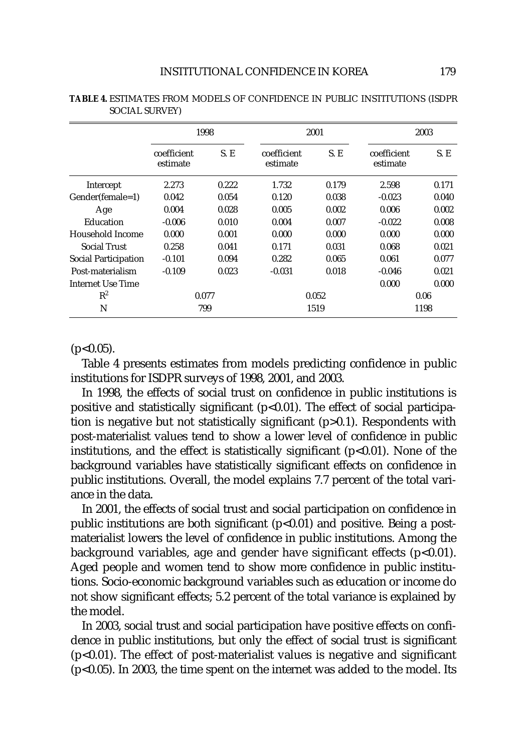|                      | 1998                    |       |                         | 2001  | 2003                    |       |
|----------------------|-------------------------|-------|-------------------------|-------|-------------------------|-------|
|                      | coefficient<br>estimate | S. E  | coefficient<br>estimate | S. E  | coefficient<br>estimate | S. E  |
| Intercept            | 2.273                   | 0.222 | 1.732                   | 0.179 | 2.598                   | 0.171 |
| Gender(female=1)     | 0.042                   | 0.054 | 0.120                   | 0.038 | $-0.023$                | 0.040 |
| Age                  | 0.004                   | 0.028 | 0.005                   | 0.002 | 0.006                   | 0.002 |
| Education            | $-0.006$                | 0.010 | 0.004                   | 0.007 | $-0.022$                | 0.008 |
| Household Income     | 0.000                   | 0.001 | 0.000                   | 0.000 | 0.000                   | 0.000 |
| <b>Social Trust</b>  | 0.258                   | 0.041 | 0.171                   | 0.031 | 0.068                   | 0.021 |
| Social Participation | $-0.101$                | 0.094 | 0.282                   | 0.065 | 0.061                   | 0.077 |
| Post-materialism     | $-0.109$                | 0.023 | $-0.031$                | 0.018 | $-0.046$                | 0.021 |
| Internet Use Time    |                         |       |                         |       | 0.000                   | 0.000 |
| $R^2$                | 0.077                   |       | 0.052                   |       | 0.06                    |       |
| N                    |                         | 799   | 1519                    |       | 1198                    |       |

**TABLE 4.** ESTIMATES FROM MODELS OF CONFIDENCE IN PUBLIC INSTITUTIONS (ISDPR SOCIAL SURVEY)

 $(p<0.05)$ .

Table 4 presents estimates from models predicting confidence in public institutions for ISDPR surveys of 1998, 2001, and 2003.

In 1998, the effects of social trust on confidence in public institutions is positive and statistically significant (p<0.01). The effect of social participation is negative but not statistically significant (p>0.1). Respondents with post-materialist values tend to show a lower level of confidence in public institutions, and the effect is statistically significant  $(p<0.01)$ . None of the background variables have statistically significant effects on confidence in public institutions. Overall, the model explains 7.7 percent of the total variance in the data.

In 2001, the effects of social trust and social participation on confidence in public institutions are both significant  $(p<0.01)$  and positive. Being a postmaterialist lowers the level of confidence in public institutions. Among the background variables, age and gender have significant effects (p<0.01). Aged people and women tend to show more confidence in public institutions. Socio-economic background variables such as education or income do not show significant effects; 5.2 percent of the total variance is explained by the model.

In 2003, social trust and social participation have positive effects on confidence in public institutions, but only the effect of social trust is significant (p<0.01). The effect of post-materialist values is negative and significant (p<0.05). In 2003, the time spent on the internet was added to the model. Its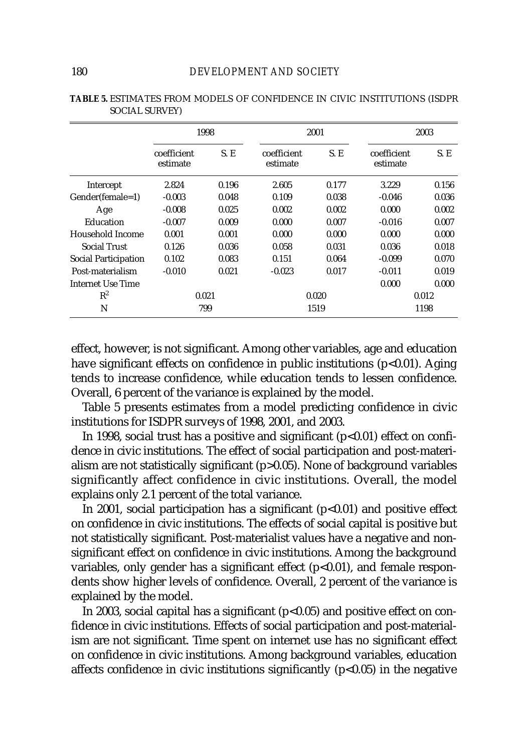|                      | 1998                    |       |                         | 2001  | 2003                    |       |
|----------------------|-------------------------|-------|-------------------------|-------|-------------------------|-------|
|                      | coefficient<br>estimate | S. E  | coefficient<br>estimate | S.E   | coefficient<br>estimate | S.E   |
| Intercept            | 2.824                   | 0.196 | 2.605                   | 0.177 | 3.229                   | 0.156 |
| Gender(female=1)     | $-0.003$                | 0.048 | 0.109                   | 0.038 | $-0.046$                | 0.036 |
| Age                  | $-0.008$                | 0.025 | 0.002                   | 0.002 | 0.000                   | 0.002 |
| Education            | $-0.007$                | 0.009 | 0.000                   | 0.007 | $-0.016$                | 0.007 |
| Household Income     | 0.001                   | 0.001 | 0.000                   | 0.000 | 0.000                   | 0.000 |
| <b>Social Trust</b>  | 0.126                   | 0.036 | 0.058                   | 0.031 | 0.036                   | 0.018 |
| Social Participation | 0.102                   | 0.083 | 0.151                   | 0.064 | $-0.099$                | 0.070 |
| Post-materialism     | $-0.010$                | 0.021 | $-0.023$                | 0.017 | $-0.011$                | 0.019 |
| Internet Use Time    |                         |       |                         |       | 0.000                   | 0.000 |
| $R^2$                | 0.021                   |       | 0.020                   |       | 0.012                   |       |
| N                    |                         | 799   | 1519                    |       | 1198                    |       |

| <b>TABLE 5. ESTIMATES FROM MODELS OF CONFIDENCE IN CIVIC INSTITUTIONS (ISDPR</b> |  |  |  |
|----------------------------------------------------------------------------------|--|--|--|
| <b>SOCIAL SURVEY)</b>                                                            |  |  |  |

effect, however, is not significant. Among other variables, age and education have significant effects on confidence in public institutions ( $p<0.01$ ). Aging tends to increase confidence, while education tends to lessen confidence. Overall, 6 percent of the variance is explained by the model.

Table 5 presents estimates from a model predicting confidence in civic institutions for ISDPR surveys of 1998, 2001, and 2003.

In 1998, social trust has a positive and significant  $(p<0.01)$  effect on confidence in civic institutions. The effect of social participation and post-materialism are not statistically significant (p>0.05). None of background variables significantly affect confidence in civic institutions. Overall, the model explains only 2.1 percent of the total variance.

In 2001, social participation has a significant  $(p<0.01)$  and positive effect on confidence in civic institutions. The effects of social capital is positive but not statistically significant. Post-materialist values have a negative and nonsignificant effect on confidence in civic institutions. Among the background variables, only gender has a significant effect  $(p<0.01)$ , and female respondents show higher levels of confidence. Overall, 2 percent of the variance is explained by the model.

In 2003, social capital has a significant ( $p$ <0.05) and positive effect on confidence in civic institutions. Effects of social participation and post-materialism are not significant. Time spent on internet use has no significant effect on confidence in civic institutions. Among background variables, education affects confidence in civic institutions significantly (p<0.05) in the negative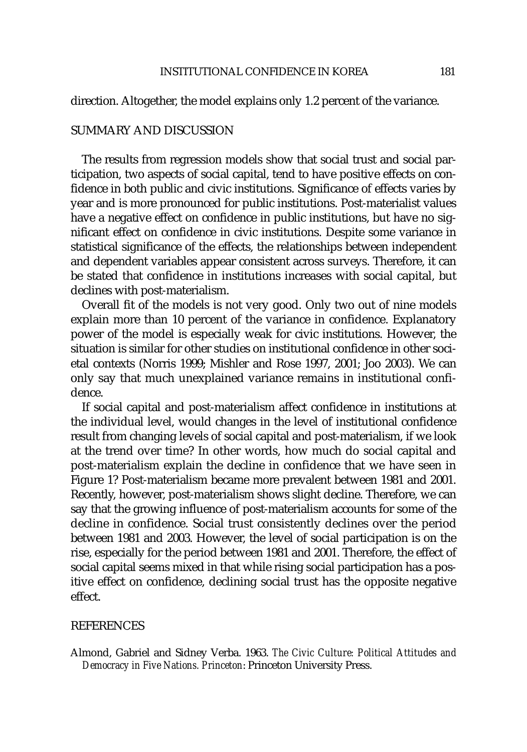# direction. Altogether, the model explains only 1.2 percent of the variance.

## SUMMARY AND DISCUSSION

The results from regression models show that social trust and social participation, two aspects of social capital, tend to have positive effects on confidence in both public and civic institutions. Significance of effects varies by year and is more pronounced for public institutions. Post-materialist values have a negative effect on confidence in public institutions, but have no significant effect on confidence in civic institutions. Despite some variance in statistical significance of the effects, the relationships between independent and dependent variables appear consistent across surveys. Therefore, it can be stated that confidence in institutions increases with social capital, but declines with post-materialism.

Overall fit of the models is not very good. Only two out of nine models explain more than 10 percent of the variance in confidence. Explanatory power of the model is especially weak for civic institutions. However, the situation is similar for other studies on institutional confidence in other societal contexts (Norris 1999; Mishler and Rose 1997, 2001; Joo 2003). We can only say that much unexplained variance remains in institutional confidence.

If social capital and post-materialism affect confidence in institutions at the individual level, would changes in the level of institutional confidence result from changing levels of social capital and post-materialism, if we look at the trend over time? In other words, how much do social capital and post-materialism explain the decline in confidence that we have seen in Figure 1? Post-materialism became more prevalent between 1981 and 2001. Recently, however, post-materialism shows slight decline. Therefore, we can say that the growing influence of post-materialism accounts for some of the decline in confidence. Social trust consistently declines over the period between 1981 and 2003. However, the level of social participation is on the rise, especially for the period between 1981 and 2001. Therefore, the effect of social capital seems mixed in that while rising social participation has a positive effect on confidence, declining social trust has the opposite negative effect.

## REFERENCES

Almond, Gabriel and Sidney Verba. 1963. *The Civic Culture: Political Attitudes and Democracy in Five Nations. Princeton*: Princeton University Press.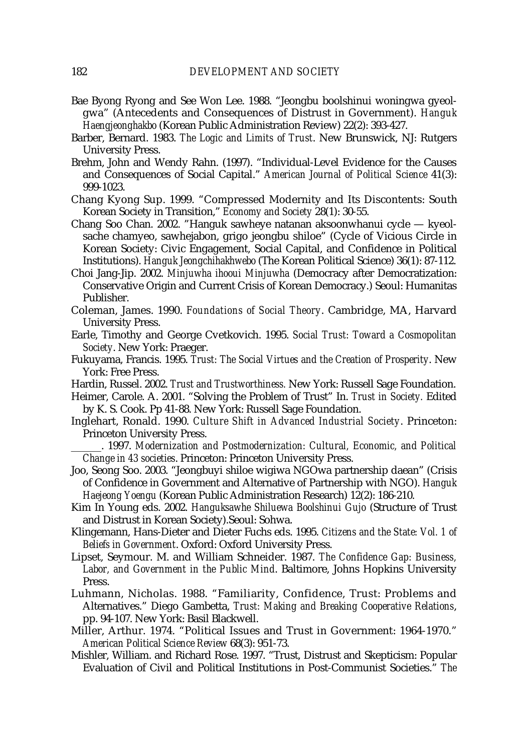- Bae Byong Ryong and See Won Lee. 1988. "Jeongbu boolshinui woningwa gyeolgwa" (Antecedents and Consequences of Distrust in Government). *Hanguk Haengjeonghakbo* (Korean Public Administration Review) 22(2): 393-427.
- Barber, Bernard. 1983. *The Logic and Limits of Trust*. New Brunswick, NJ: Rutgers University Press.
- Brehm, John and Wendy Rahn. (1997). "Individual-Level Evidence for the Causes and Consequences of Social Capital." *American Journal of Political Science* 41(3): 999-1023.
- Chang Kyong Sup. 1999. "Compressed Modernity and Its Discontents: South Korean Society in Transition," *Economy and Society* 28(1): 30-55.
- Chang Soo Chan. 2002. "Hanguk sawheye natanan aksoonwhanui cycle kyeolsache chamyeo, sawhejabon, grigo jeongbu shiloe" (Cycle of Vicious Circle in Korean Society: Civic Engagement, Social Capital, and Confidence in Political Institutions). *Hanguk Jeongchihakhwebo* (The Korean Political Science) 36(1): 87-112.
- Choi Jang-Jip. 2002. *Minjuwha ihooui Minjuwha* (Democracy after Democratization: Conservative Origin and Current Crisis of Korean Democracy.) Seoul: Humanitas Publisher.
- Coleman, James. 1990. *Foundations of Social Theory*. Cambridge, MA, Harvard University Press.
- Earle, Timothy and George Cvetkovich. 1995. *Social Trust: Toward a Cosmopolitan Society*. New York: Praeger.
- Fukuyama, Francis. 1995. *Trust: The Social Virtues and the Creation of Prosperity*. New York: Free Press.
- Hardin, Russel. 2002. *Trust and Trustworthiness.* New York: Russell Sage Foundation.
- Heimer, Carole. A. 2001. "Solving the Problem of Trust" In. *Trust in Society.* Edited by K. S. Cook. Pp 41-88. New York: Russell Sage Foundation.
- Inglehart, Ronald. 1990. *Culture Shift in Advanced Industrial Society*. Princeton: Princeton University Press.
	- \_\_\_\_\_\_. 1997. *Modernization and Postmodernization: Cultural, Economic, and Political Change in 43 societies*. Princeton: Princeton University Press.
- Joo, Seong Soo. 2003. "Jeongbuyi shiloe wigiwa NGOwa partnership daean" (Crisis of Confidence in Government and Alternative of Partnership with NGO). *Hanguk Haejeong Yoengu* (Korean Public Administration Research) 12(2): 186-210.
- Kim In Young eds. 2002. *Hanguksawhe Shiluewa Boolshinui Gujo* (Structure of Trust and Distrust in Korean Society).Seoul: Sohwa.
- Klingemann, Hans-Dieter and Dieter Fuchs eds. 1995. *Citizens and the State: Vol. 1 of Beliefs in Government*. Oxford: Oxford University Press.
- Lipset, Seymour. M. and William Schneider. 1987. *The Confidence Gap: Business, Labor, and Government in the Public Mind*. Baltimore, Johns Hopkins University Press.
- Luhmann, Nicholas. 1988. "Familiarity, Confidence, Trust: Problems and Alternatives." Diego Gambetta, *Trust: Making and Breaking Cooperative Relations*, pp. 94-107. New York: Basil Blackwell.
- Miller, Arthur. 1974. "Political Issues and Trust in Government: 1964-1970." *American Political Science Review* 68(3): 951-73.
- Mishler, William. and Richard Rose. 1997. "Trust, Distrust and Skepticism: Popular Evaluation of Civil and Political Institutions in Post-Communist Societies." *The*